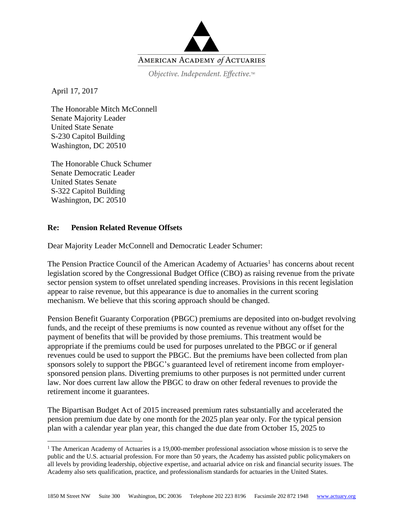

Objective. Independent. Effective.™

April 17, 2017

 $\overline{a}$ 

The Honorable Mitch McConnell Senate Majority Leader United State Senate S-230 Capitol Building Washington, DC 20510

The Honorable Chuck Schumer Senate Democratic Leader United States Senate S-322 Capitol Building Washington, DC 20510

## **Re: Pension Related Revenue Offsets**

Dear Majority Leader McConnell and Democratic Leader Schumer:

The Pension Practice Council of the American Academy of Actuaries<sup>1</sup> has concerns about recent legislation scored by the Congressional Budget Office (CBO) as raising revenue from the private sector pension system to offset unrelated spending increases. Provisions in this recent legislation appear to raise revenue, but this appearance is due to anomalies in the current scoring mechanism. We believe that this scoring approach should be changed.

Pension Benefit Guaranty Corporation (PBGC) premiums are deposited into on-budget revolving funds, and the receipt of these premiums is now counted as revenue without any offset for the payment of benefits that will be provided by those premiums. This treatment would be appropriate if the premiums could be used for purposes unrelated to the PBGC or if general revenues could be used to support the PBGC. But the premiums have been collected from plan sponsors solely to support the PBGC's guaranteed level of retirement income from employersponsored pension plans. Diverting premiums to other purposes is not permitted under current law. Nor does current law allow the PBGC to draw on other federal revenues to provide the retirement income it guarantees.

The Bipartisan Budget Act of 2015 increased premium rates substantially and accelerated the pension premium due date by one month for the 2025 plan year only. For the typical pension plan with a calendar year plan year, this changed the due date from October 15, 2025 to

<sup>&</sup>lt;sup>1</sup> The American Academy of Actuaries is a 19,000-member professional association whose mission is to serve the public and the U.S. actuarial profession. For more than 50 years, the Academy has assisted public policymakers on all levels by providing leadership, objective expertise, and actuarial advice on risk and financial security issues. The Academy also sets qualification, practice, and professionalism standards for actuaries in the United States.